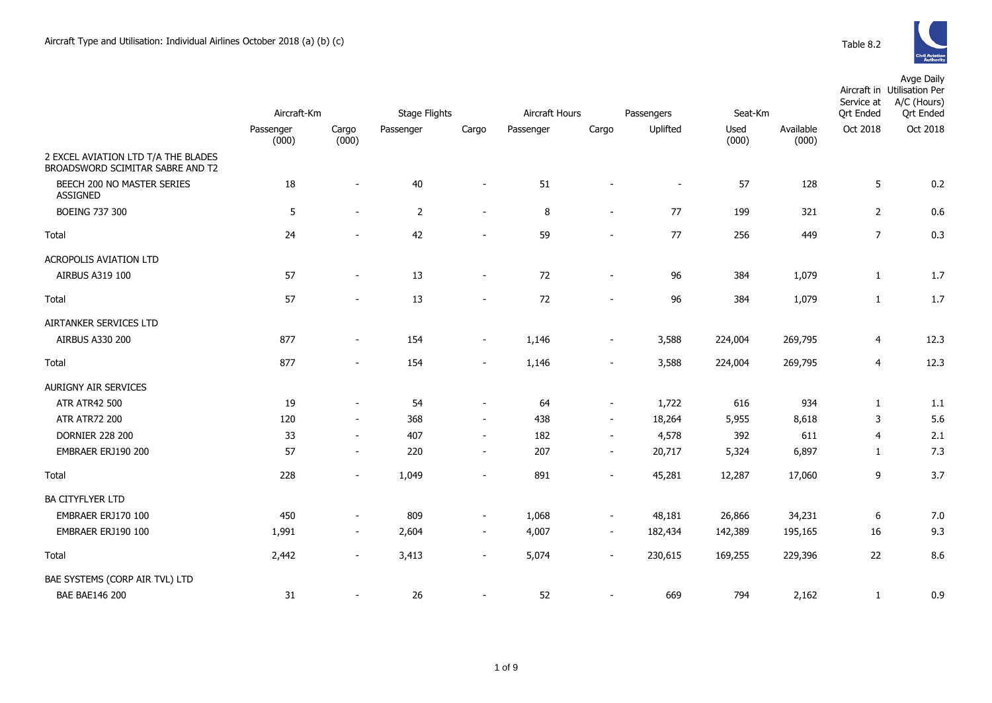|                                                                         |                    |                          | <b>Stage Flights</b> |                          |                |                          |            |               |                    | Service at       | Avge Daily<br>Aircraft in Utilisation Per<br>A/C (Hours) |
|-------------------------------------------------------------------------|--------------------|--------------------------|----------------------|--------------------------|----------------|--------------------------|------------|---------------|--------------------|------------------|----------------------------------------------------------|
|                                                                         | Aircraft-Km        |                          |                      |                          | Aircraft Hours |                          | Passengers | Seat-Km       |                    | <b>Qrt Ended</b> | <b>Qrt Ended</b>                                         |
|                                                                         | Passenger<br>(000) | Cargo<br>(000)           | Passenger            | Cargo                    | Passenger      | Cargo                    | Uplifted   | Used<br>(000) | Available<br>(000) | Oct 2018         | Oct 2018                                                 |
| 2 EXCEL AVIATION LTD T/A THE BLADES<br>BROADSWORD SCIMITAR SABRE AND T2 |                    |                          |                      |                          |                |                          |            |               |                    |                  |                                                          |
| BEECH 200 NO MASTER SERIES<br><b>ASSIGNED</b>                           | 18                 | $\mathbf{r}$             | 40                   | $\sim$                   | 51             |                          | $\sim$     | 57            | 128                | 5                | 0.2                                                      |
| <b>BOEING 737 300</b>                                                   | 5                  | $\overline{\phantom{a}}$ | $\overline{2}$       | $\overline{\phantom{a}}$ | 8              | $\sim$                   | $77$       | 199           | 321                | $\overline{2}$   | 0.6                                                      |
| Total                                                                   | 24                 | $\mathbf{r}$             | 42                   | $\blacksquare$           | 59             | $\blacksquare$           | 77         | 256           | 449                | $\overline{7}$   | 0.3                                                      |
| ACROPOLIS AVIATION LTD                                                  |                    |                          |                      |                          |                |                          |            |               |                    |                  |                                                          |
| AIRBUS A319 100                                                         | 57                 | $\blacksquare$           | 13                   | $\overline{\phantom{a}}$ | 72             | $\overline{\phantom{a}}$ | 96         | 384           | 1,079              | $\mathbf{1}$     | 1.7                                                      |
| Total                                                                   | 57                 |                          | 13                   | $\blacksquare$           | 72             | $\blacksquare$           | 96         | 384           | 1,079              | $\mathbf{1}$     | 1.7                                                      |
| AIRTANKER SERVICES LTD                                                  |                    |                          |                      |                          |                |                          |            |               |                    |                  |                                                          |
| AIRBUS A330 200                                                         | 877                | $\blacksquare$           | 154                  | $\overline{\phantom{a}}$ | 1,146          | $\overline{\phantom{a}}$ | 3,588      | 224,004       | 269,795            | 4                | 12.3                                                     |
| Total                                                                   | 877                | $\blacksquare$           | 154                  | $\blacksquare$           | 1,146          | $\blacksquare$           | 3,588      | 224,004       | 269,795            | 4                | 12.3                                                     |
| AURIGNY AIR SERVICES                                                    |                    |                          |                      |                          |                |                          |            |               |                    |                  |                                                          |
| <b>ATR ATR42 500</b>                                                    | 19                 | $\blacksquare$           | 54                   | $\sim$                   | 64             | $\sim$                   | 1,722      | 616           | 934                | $\mathbf{1}$     | 1.1                                                      |
| <b>ATR ATR72 200</b>                                                    | 120                | $\blacksquare$           | 368                  | $\blacksquare$           | 438            | $\sim$                   | 18,264     | 5,955         | 8,618              | 3                | 5.6                                                      |
| <b>DORNIER 228 200</b>                                                  | 33                 | $\overline{\phantom{a}}$ | 407                  | $\blacksquare$           | 182            | $\blacksquare$           | 4,578      | 392           | 611                | 4                | 2.1                                                      |
| EMBRAER ERJ190 200                                                      | 57                 | $\blacksquare$           | 220                  | $\blacksquare$           | 207            | $\overline{\phantom{a}}$ | 20,717     | 5,324         | 6,897              | $\mathbf{1}$     | 7.3                                                      |
| Total                                                                   | 228                | $\sim$                   | 1,049                | $\blacksquare$           | 891            | $\sim$                   | 45,281     | 12,287        | 17,060             | 9                | 3.7                                                      |
| <b>BA CITYFLYER LTD</b>                                                 |                    |                          |                      |                          |                |                          |            |               |                    |                  |                                                          |
| EMBRAER ERJ170 100                                                      | 450                |                          | 809                  | $\overline{\phantom{a}}$ | 1,068          | $\blacksquare$           | 48,181     | 26,866        | 34,231             | 6                | 7.0                                                      |
| EMBRAER ERJ190 100                                                      | 1,991              | $\overline{\phantom{a}}$ | 2,604                | $\blacksquare$           | 4,007          | $\sim$                   | 182,434    | 142,389       | 195,165            | 16               | 9.3                                                      |
| Total                                                                   | 2,442              | $\overline{\phantom{a}}$ | 3,413                | $\overline{\phantom{a}}$ | 5,074          | $\overline{\phantom{a}}$ | 230,615    | 169,255       | 229,396            | 22               | 8.6                                                      |
| BAE SYSTEMS (CORP AIR TVL) LTD                                          |                    |                          |                      |                          |                |                          |            |               |                    |                  |                                                          |
| <b>BAE BAE146 200</b>                                                   | 31                 |                          | 26                   | $\blacksquare$           | 52             | $\blacksquare$           | 669        | 794           | 2,162              | $\mathbf{1}$     | 0.9                                                      |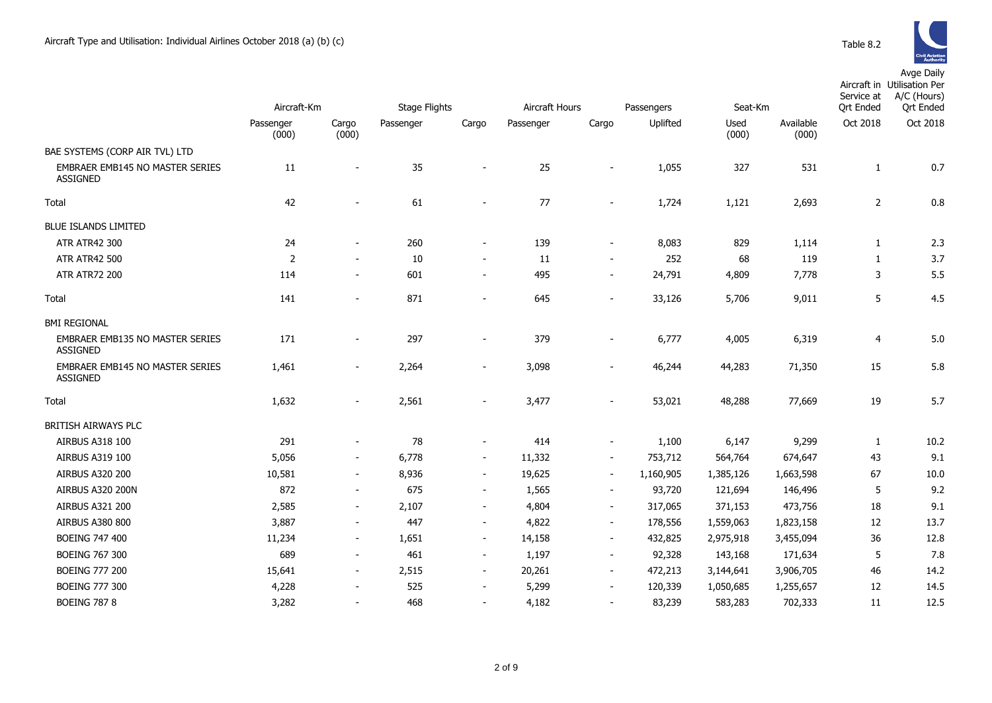|                                                           | Aircraft-Km        |                          | <b>Stage Flights</b> |                          | Aircraft Hours |                          | Seat-Km<br>Passengers |               |                    | Service at<br><b>Qrt Ended</b> | Aircraft in Utilisation Per<br>A/C (Hours)<br><b>Qrt Ended</b> |
|-----------------------------------------------------------|--------------------|--------------------------|----------------------|--------------------------|----------------|--------------------------|-----------------------|---------------|--------------------|--------------------------------|----------------------------------------------------------------|
|                                                           | Passenger<br>(000) | Cargo<br>(000)           | Passenger            | Cargo                    | Passenger      | Cargo                    | Uplifted              | Used<br>(000) | Available<br>(000) | Oct 2018                       | Oct 2018                                                       |
| BAE SYSTEMS (CORP AIR TVL) LTD                            |                    |                          |                      |                          |                |                          |                       |               |                    |                                |                                                                |
| <b>EMBRAER EMB145 NO MASTER SERIES</b><br><b>ASSIGNED</b> | 11                 |                          | 35                   |                          | 25             |                          | 1,055                 | 327           | 531                | 1                              | 0.7                                                            |
| Total                                                     | 42                 |                          | 61                   | $\blacksquare$           | 77             | $\overline{\phantom{0}}$ | 1,724                 | 1,121         | 2,693              | $\overline{2}$                 | 0.8                                                            |
| <b>BLUE ISLANDS LIMITED</b>                               |                    |                          |                      |                          |                |                          |                       |               |                    |                                |                                                                |
| ATR ATR42 300                                             | 24                 | $\blacksquare$           | 260                  | $\overline{\phantom{a}}$ | 139            | $\blacksquare$           | 8,083                 | 829           | 1,114              | $\mathbf{1}$                   | 2.3                                                            |
| <b>ATR ATR42 500</b>                                      | $\overline{2}$     | $\blacksquare$           | 10                   | $\blacksquare$           | 11             | $\overline{\phantom{a}}$ | 252                   | 68            | 119                | $\mathbf{1}$                   | 3.7                                                            |
| <b>ATR ATR72 200</b>                                      | 114                | $\blacksquare$           | 601                  | $\overline{\phantom{a}}$ | 495            | $\overline{\phantom{a}}$ | 24,791                | 4,809         | 7,778              | 3                              | 5.5                                                            |
| Total                                                     | 141                | $\overline{\phantom{a}}$ | 871                  | $\overline{\phantom{a}}$ | 645            | $\blacksquare$           | 33,126                | 5,706         | 9,011              | 5                              | 4.5                                                            |
| <b>BMI REGIONAL</b>                                       |                    |                          |                      |                          |                |                          |                       |               |                    |                                |                                                                |
| EMBRAER EMB135 NO MASTER SERIES<br><b>ASSIGNED</b>        | 171                | $\overline{\phantom{a}}$ | 297                  | $\overline{a}$           | 379            |                          | 6,777                 | 4,005         | 6,319              | $\overline{4}$                 | 5.0                                                            |
| EMBRAER EMB145 NO MASTER SERIES<br><b>ASSIGNED</b>        | 1,461              | $\overline{\phantom{a}}$ | 2,264                | $\overline{\phantom{0}}$ | 3,098          |                          | 46,244                | 44,283        | 71,350             | 15                             | 5.8                                                            |
| Total                                                     | 1,632              | $\overline{\phantom{a}}$ | 2,561                | $\overline{\phantom{0}}$ | 3,477          |                          | 53,021                | 48,288        | 77,669             | 19                             | 5.7                                                            |
| BRITISH AIRWAYS PLC                                       |                    |                          |                      |                          |                |                          |                       |               |                    |                                |                                                                |
| AIRBUS A318 100                                           | 291                | $\blacksquare$           | 78                   | $\overline{\phantom{a}}$ | 414            | $\blacksquare$           | 1,100                 | 6,147         | 9,299              | 1                              | 10.2                                                           |
| AIRBUS A319 100                                           | 5,056              | $\blacksquare$           | 6,778                | $\overline{\phantom{a}}$ | 11,332         | $\blacksquare$           | 753,712               | 564,764       | 674,647            | 43                             | 9.1                                                            |
| <b>AIRBUS A320 200</b>                                    | 10,581             | $\overline{\phantom{a}}$ | 8,936                | $\overline{\phantom{a}}$ | 19,625         | $\overline{\phantom{a}}$ | 1,160,905             | 1,385,126     | 1,663,598          | 67                             | 10.0                                                           |
| AIRBUS A320 200N                                          | 872                | $\overline{\phantom{a}}$ | 675                  | $\overline{\phantom{a}}$ | 1,565          | $\overline{\phantom{a}}$ | 93,720                | 121,694       | 146,496            | 5                              | 9.2                                                            |
| <b>AIRBUS A321 200</b>                                    | 2,585              | $\overline{\phantom{a}}$ | 2,107                | $\overline{\phantom{a}}$ | 4,804          | $\overline{\phantom{a}}$ | 317,065               | 371,153       | 473,756            | 18                             | 9.1                                                            |
| <b>AIRBUS A380 800</b>                                    | 3,887              | $\blacksquare$           | 447                  | $\overline{\phantom{a}}$ | 4,822          | $\overline{\phantom{a}}$ | 178,556               | 1,559,063     | 1,823,158          | 12                             | 13.7                                                           |
| <b>BOEING 747 400</b>                                     | 11,234             | $\overline{\phantom{a}}$ | 1,651                | $\blacksquare$           | 14,158         | $\sim$                   | 432,825               | 2,975,918     | 3,455,094          | 36                             | 12.8                                                           |
| <b>BOEING 767 300</b>                                     | 689                | $\sim$                   | 461                  | $\sim$                   | 1,197          | $\sim$                   | 92,328                | 143,168       | 171,634            | 5                              | 7.8                                                            |
| <b>BOEING 777 200</b>                                     | 15,641             | $\blacksquare$           | 2,515                | $\sim$                   | 20,261         | $\sim$                   | 472,213               | 3,144,641     | 3,906,705          | 46                             | 14.2                                                           |
| <b>BOEING 777 300</b>                                     | 4,228              |                          | 525                  | $\blacksquare$           | 5,299          | $\blacksquare$           | 120,339               | 1,050,685     | 1,255,657          | 12                             | 14.5                                                           |
| <b>BOEING 787 8</b>                                       | 3,282              | $\overline{\phantom{a}}$ | 468                  | $\blacksquare$           | 4,182          | $\blacksquare$           | 83,239                | 583,283       | 702,333            | 11                             | 12.5                                                           |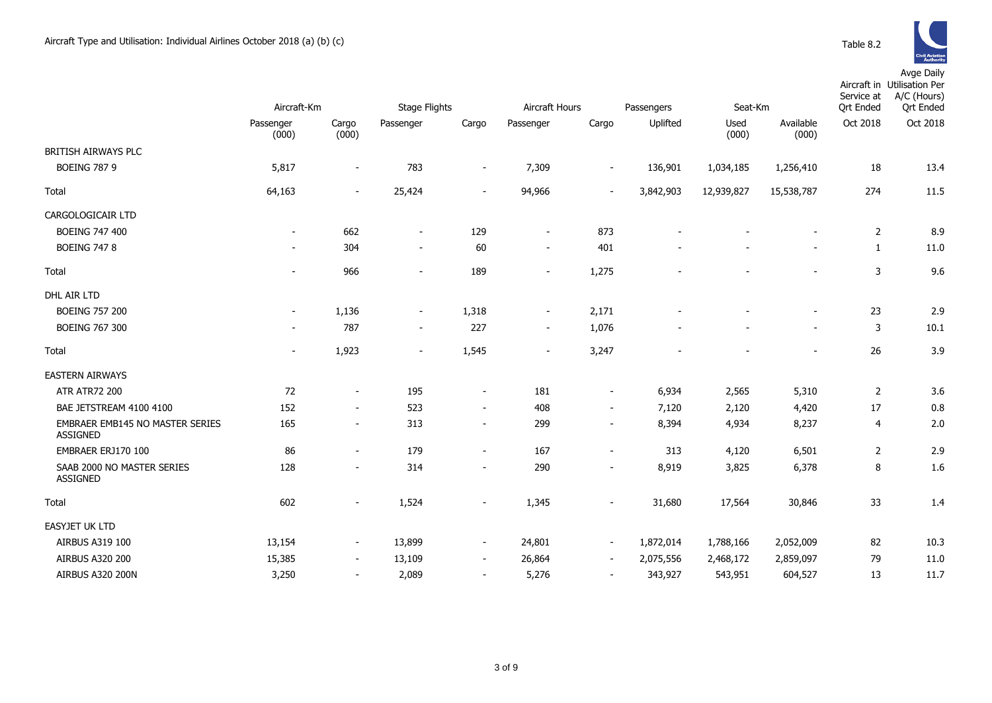

|                                                    | Aircraft-Km        |                          | <b>Stage Flights</b>     |                          | Aircraft Hours           |        | Seat-Km<br>Passengers |               |                    | Service at<br><b>Qrt Ended</b> | Aircraft in Utilisation Per<br>A/C (Hours)<br><b>Qrt Ended</b> |
|----------------------------------------------------|--------------------|--------------------------|--------------------------|--------------------------|--------------------------|--------|-----------------------|---------------|--------------------|--------------------------------|----------------------------------------------------------------|
|                                                    | Passenger<br>(000) | Cargo<br>(000)           | Passenger                | Cargo                    | Passenger                | Cargo  | Uplifted              | Used<br>(000) | Available<br>(000) | Oct 2018                       | Oct 2018                                                       |
| BRITISH AIRWAYS PLC                                |                    |                          |                          |                          |                          |        |                       |               |                    |                                |                                                                |
| <b>BOEING 787 9</b>                                | 5,817              | $\overline{\phantom{a}}$ | 783                      | $\overline{\phantom{a}}$ | 7,309                    | $\sim$ | 136,901               | 1,034,185     | 1,256,410          | 18                             | 13.4                                                           |
| Total                                              | 64,163             | $\sim$                   | 25,424                   | $\overline{\phantom{a}}$ | 94,966                   | $\sim$ | 3,842,903             | 12,939,827    | 15,538,787         | 274                            | 11.5                                                           |
| CARGOLOGICAIR LTD                                  |                    |                          |                          |                          |                          |        |                       |               |                    |                                |                                                                |
| <b>BOEING 747 400</b>                              | $\sim$             | 662                      | $\overline{\phantom{a}}$ | 129                      | $\sim$                   | 873    |                       |               |                    | 2                              | 8.9                                                            |
| <b>BOEING 747 8</b>                                |                    | 304                      | $\sim$                   | 60                       | $\overline{\phantom{a}}$ | 401    |                       |               |                    | $\mathbf{1}$                   | 11.0                                                           |
| Total                                              |                    | 966                      | $\sim$                   | 189                      | $\sim$                   | 1,275  |                       |               |                    | 3                              | 9.6                                                            |
| DHL AIR LTD                                        |                    |                          |                          |                          |                          |        |                       |               |                    |                                |                                                                |
| <b>BOEING 757 200</b>                              |                    | 1,136                    | $\overline{\phantom{a}}$ | 1,318                    | $\overline{\phantom{a}}$ | 2,171  |                       |               |                    | 23                             | 2.9                                                            |
| <b>BOEING 767 300</b>                              |                    | 787                      | $\sim$                   | 227                      | $\sim$                   | 1,076  |                       |               | $\mathbf{r}$       | 3                              | 10.1                                                           |
| Total                                              |                    | 1,923                    | $\sim$                   | 1,545                    | $\sim$                   | 3,247  |                       |               |                    | 26                             | 3.9                                                            |
| <b>EASTERN AIRWAYS</b>                             |                    |                          |                          |                          |                          |        |                       |               |                    |                                |                                                                |
| <b>ATR ATR72 200</b>                               | 72                 |                          | 195                      | $\overline{\phantom{a}}$ | 181                      | $\sim$ | 6,934                 | 2,565         | 5,310              | $\overline{2}$                 | 3.6                                                            |
| BAE JETSTREAM 4100 4100                            | 152                | $\sim$                   | 523                      | $\sim$                   | 408                      | $\sim$ | 7,120                 | 2,120         | 4,420              | 17                             | 0.8                                                            |
| EMBRAER EMB145 NO MASTER SERIES<br><b>ASSIGNED</b> | 165                |                          | 313                      | $\overline{\phantom{a}}$ | 299                      |        | 8,394                 | 4,934         | 8,237              | 4                              | 2.0                                                            |
| EMBRAER ERJ170 100                                 | 86                 | $\overline{\phantom{a}}$ | 179                      | $\sim$                   | 167                      |        | 313                   | 4,120         | 6,501              | 2                              | 2.9                                                            |
| SAAB 2000 NO MASTER SERIES<br><b>ASSIGNED</b>      | 128                | $\sim$                   | 314                      | $\sim$                   | 290                      | $\sim$ | 8,919                 | 3,825         | 6,378              | 8                              | 1.6                                                            |
| Total                                              | 602                | $\sim$                   | 1,524                    | $\sim$                   | 1,345                    |        | 31,680                | 17,564        | 30,846             | 33                             | 1.4                                                            |
| <b>EASYJET UK LTD</b>                              |                    |                          |                          |                          |                          |        |                       |               |                    |                                |                                                                |
| AIRBUS A319 100                                    | 13,154             | $\sim$                   | 13,899                   | $\overline{\phantom{a}}$ | 24,801                   | $\sim$ | 1,872,014             | 1,788,166     | 2,052,009          | 82                             | 10.3                                                           |
| <b>AIRBUS A320 200</b>                             | 15,385             | $\overline{\phantom{a}}$ | 13,109                   | $\overline{\phantom{a}}$ | 26,864                   | $\sim$ | 2,075,556             | 2,468,172     | 2,859,097          | 79                             | 11.0                                                           |
| AIRBUS A320 200N                                   | 3,250              | $\sim$                   | 2,089                    | $\sim$                   | 5,276                    | $\sim$ | 343,927               | 543,951       | 604,527            | 13                             | 11.7                                                           |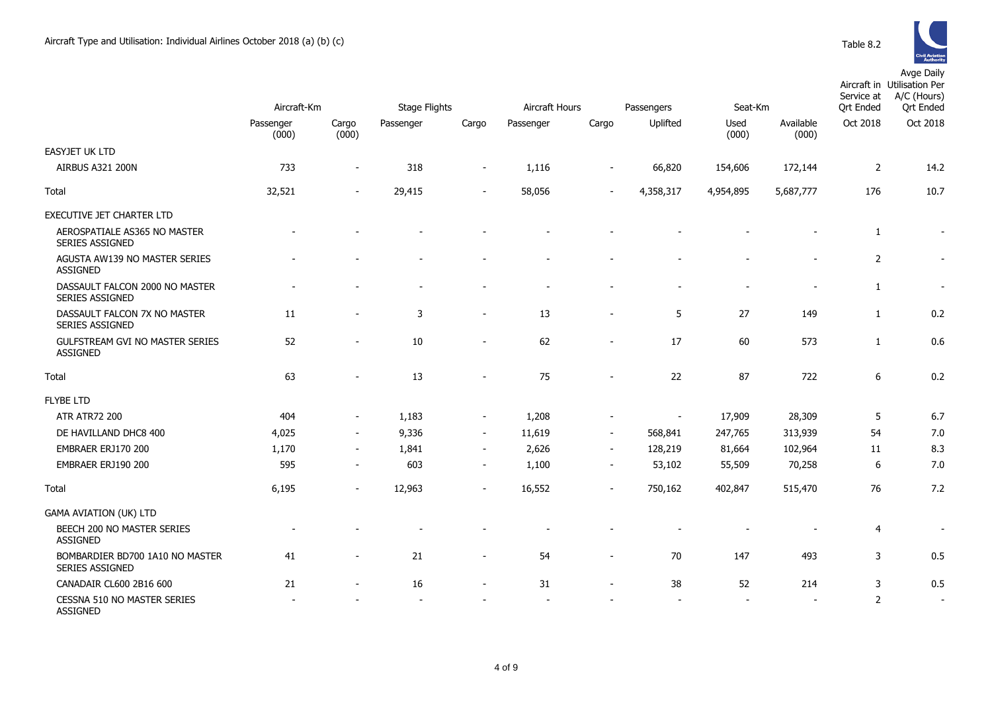EASYJET UK LTD



|                                                        | Aircraft-Km        |                          | Stage Flights |                          |                          | Aircraft Hours<br>Passengers |           |               | Seat-Km            | Service at<br><b>Qrt Ended</b> | <b><i><u>Authority</u></i></b><br>Avge Daily<br>Aircraft in Utilisation Per<br>A/C (Hours)<br><b>Qrt Ended</b> |
|--------------------------------------------------------|--------------------|--------------------------|---------------|--------------------------|--------------------------|------------------------------|-----------|---------------|--------------------|--------------------------------|----------------------------------------------------------------------------------------------------------------|
|                                                        | Passenger<br>(000) | Cargo<br>(000)           | Passenger     | Cargo                    | Passenger                | Cargo                        | Uplifted  | Used<br>(000) | Available<br>(000) | Oct 2018                       | Oct 2018                                                                                                       |
| SYJET UK LTD                                           |                    |                          |               |                          |                          |                              |           |               |                    |                                |                                                                                                                |
| <b>AIRBUS A321 200N</b>                                | 733                | $\overline{\phantom{a}}$ | 318           | $\sim$                   | 1,116                    | $\overline{\phantom{a}}$     | 66,820    | 154,606       | 172,144            | 2                              | 14.2                                                                                                           |
| tal                                                    | 32,521             | $\sim$                   | 29,415        | $\sim$                   | 58,056                   | $\sim$                       | 4,358,317 | 4,954,895     | 5,687,777          | 176                            | 10.7                                                                                                           |
| ECUTIVE JET CHARTER LTD                                |                    |                          |               |                          |                          |                              |           |               |                    |                                |                                                                                                                |
| AEROSPATIALE AS365 NO MASTER<br><b>SERIES ASSIGNED</b> |                    |                          |               |                          |                          |                              |           |               |                    | 1                              |                                                                                                                |
| AGUSTA AW139 NO MASTER SERIES<br>ASSIGNED              |                    |                          |               |                          | $\overline{\phantom{0}}$ |                              |           |               |                    | 2                              |                                                                                                                |
| DASSAULT FALCON 2000 NO MASTER<br>SERIES ASSIGNED      |                    |                          |               |                          |                          |                              |           |               |                    | 1                              |                                                                                                                |
| DASSAULT FALCON 7X NO MASTER<br>SERIES ASSIGNED        | 11                 |                          | 3             |                          | 13                       |                              | 5         | 27            | 149                | 1                              | 0.2                                                                                                            |
| GULFSTREAM GVI NO MASTER SERIES<br>ASSIGNED            | 52                 |                          | 10            | $\sim$                   | 62                       | $\overline{\phantom{a}}$     | 17        | 60            | 573                | 1                              | 0.6                                                                                                            |
| tal                                                    | 63                 |                          | 13            | $\overline{\phantom{a}}$ | 75                       | $\overline{\phantom{a}}$     | 22        | 87            | 722                | 6                              | 0.2                                                                                                            |
| <b>BE LTD</b>                                          |                    |                          |               |                          |                          |                              |           |               |                    |                                |                                                                                                                |
| <b>ATR ATR72 200</b>                                   | 404                | $\sim$                   | 1,183         | $\sim$                   | 1,208                    | $\overline{\phantom{a}}$     | $\sim$    | 17,909        | 28,309             | 5                              | 6.7                                                                                                            |
| DE HAVILLAND DHC8 400                                  | 4,025              | $\sim$                   | 9,336         | $\sim$                   | 11,619                   | $\sim$                       | 568,841   | 247,765       | 313,939            | 54                             | 7.0                                                                                                            |
| EMBRAER ERJ170 200                                     | 1,170              |                          | 1,841         |                          | 2,626                    | $\overline{\phantom{a}}$     | 128,219   | 81,664        | 102,964            | 11                             | 8.3                                                                                                            |
|                                                        |                    |                          |               |                          |                          |                              |           |               |                    |                                |                                                                                                                |

| Total                                                     | 32,521 | ۰                            | 29,415 | $\overline{\phantom{a}}$ | 58,056 | $\overline{\phantom{a}}$ | 4,358,317 | 4,954,895      | 5,687,777      | 176            | 10.7 |
|-----------------------------------------------------------|--------|------------------------------|--------|--------------------------|--------|--------------------------|-----------|----------------|----------------|----------------|------|
| <b>EXECUTIVE JET CHARTER LTD</b>                          |        |                              |        |                          |        |                          |           |                |                |                |      |
| AEROSPATIALE AS365 NO MASTER<br><b>SERIES ASSIGNED</b>    |        |                              |        |                          |        |                          |           |                |                | $\mathbf{1}$   |      |
| AGUSTA AW139 NO MASTER SERIES<br><b>ASSIGNED</b>          |        |                              |        |                          |        |                          |           |                | $\blacksquare$ | $\overline{2}$ |      |
| DASSAULT FALCON 2000 NO MASTER<br><b>SERIES ASSIGNED</b>  |        |                              |        |                          |        |                          |           | $\blacksquare$ | $\blacksquare$ | 1              |      |
| DASSAULT FALCON 7X NO MASTER<br>SERIES ASSIGNED           | 11     | ۰                            | 3      | $\overline{\phantom{a}}$ | 13     |                          | 5         | 27             | 149            | 1              | 0.2  |
| <b>GULFSTREAM GVI NO MASTER SERIES</b><br><b>ASSIGNED</b> | 52     |                              | 10     | $\overline{\phantom{0}}$ | 62     |                          | 17        | 60             | 573            | $\mathbf{1}$   | 0.6  |
| Total                                                     | 63     |                              | 13     | $\overline{a}$           | 75     |                          | 22        | 87             | 722            | 6              | 0.2  |
| <b>FLYBE LTD</b>                                          |        |                              |        |                          |        |                          |           |                |                |                |      |
| <b>ATR ATR72 200</b>                                      | 404    | $\overline{\phantom{a}}$     | 1,183  | $\overline{\phantom{a}}$ | 1,208  |                          |           | 17,909         | 28,309         | 5              | 6.7  |
| DE HAVILLAND DHC8 400                                     | 4,025  | $\overline{\phantom{a}}$     | 9,336  | $\overline{\phantom{a}}$ | 11,619 | $\sim$                   | 568,841   | 247,765        | 313,939        | 54             | 7.0  |
| EMBRAER ERJ170 200                                        | 1,170  | $\overline{\phantom{a}}$     | 1,841  | $\overline{\phantom{a}}$ | 2,626  | $\sim$                   | 128,219   | 81,664         | 102,964        | 11             | 8.3  |
| EMBRAER ERJ190 200                                        | 595    | $\overline{\phantom{a}}$     | 603    | $\overline{\phantom{a}}$ | 1,100  | $\sim$                   | 53,102    | 55,509         | 70,258         | 6              | 7.0  |
| Total                                                     | 6,195  | $\overline{\phantom{a}}$     | 12,963 | $\blacksquare$           | 16,552 |                          | 750,162   | 402,847        | 515,470        | 76             | 7.2  |
| <b>GAMA AVIATION (UK) LTD</b>                             |        |                              |        |                          |        |                          |           |                |                |                |      |
| BEECH 200 NO MASTER SERIES<br><b>ASSIGNED</b>             |        |                              |        |                          |        |                          |           |                |                | $\overline{4}$ |      |
| BOMBARDIER BD700 1A10 NO MASTER<br><b>SERIES ASSIGNED</b> | 41     |                              | 21     | $\overline{\phantom{0}}$ | 54     |                          | 70        | 147            | 493            | 3              | 0.5  |
| CANADAIR CL600 2B16 600                                   | 21     | $\qquad \qquad \blacksquare$ | 16     | $\overline{\phantom{a}}$ | 31     | $\overline{\phantom{a}}$ | 38        | 52             | 214            | 3              | 0.5  |
| CESSNA 510 NO MASTER SERIES<br><b>ASSIGNED</b>            |        |                              |        |                          |        |                          |           | $\blacksquare$ |                | 2              |      |
|                                                           |        |                              |        |                          |        |                          |           |                |                |                |      |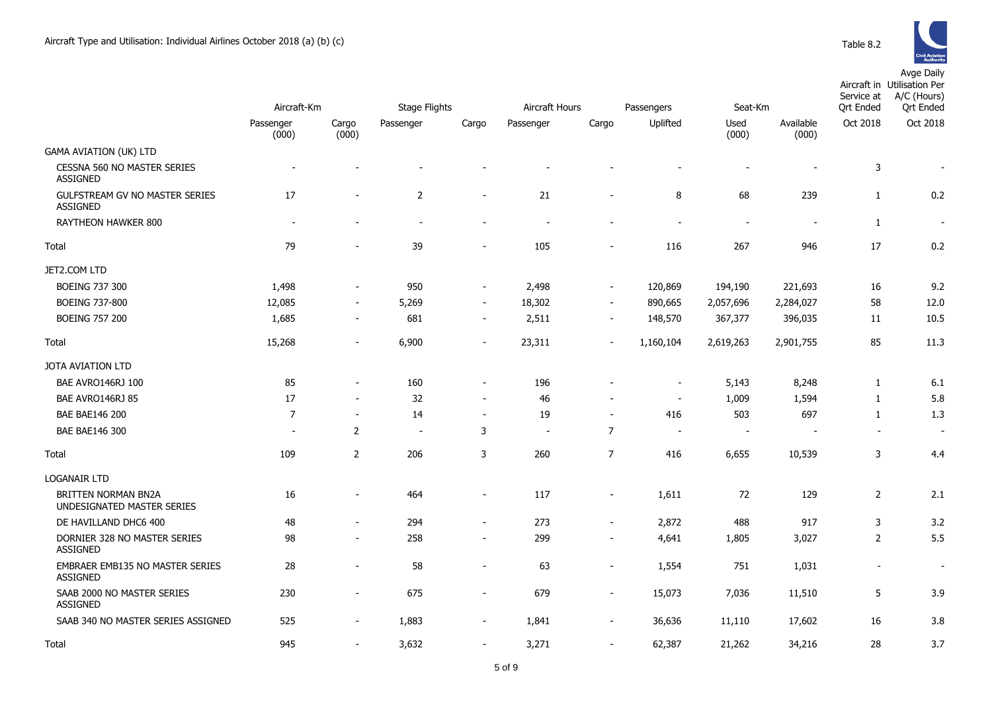|                                                          |                          | Aircraft-Km              |                | <b>Stage Flights</b>     |                          | Aircraft Hours<br>Passengers |                          | Seat-Km                  |                    | Service at<br>Ort Ended | Aircraft in Utilisation Per<br>A/C (Hours)<br><b>Ort Ended</b> |
|----------------------------------------------------------|--------------------------|--------------------------|----------------|--------------------------|--------------------------|------------------------------|--------------------------|--------------------------|--------------------|-------------------------|----------------------------------------------------------------|
|                                                          | Passenger<br>(000)       | Cargo<br>(000)           | Passenger      | Cargo                    | Passenger                | Cargo                        | Uplifted                 | Used<br>(000)            | Available<br>(000) | Oct 2018                | Oct 2018                                                       |
| <b>GAMA AVIATION (UK) LTD</b>                            |                          |                          |                |                          |                          |                              |                          |                          |                    |                         |                                                                |
| <b>CESSNA 560 NO MASTER SERIES</b><br><b>ASSIGNED</b>    | $\overline{a}$           |                          |                |                          |                          |                              |                          |                          |                    | 3                       |                                                                |
| <b>GULFSTREAM GV NO MASTER SERIES</b><br><b>ASSIGNED</b> | 17                       | $\overline{\phantom{a}}$ | $\overline{2}$ | $\overline{\phantom{a}}$ | 21                       | $\blacksquare$               | 8                        | 68                       | 239                | $\mathbf{1}$            | 0.2                                                            |
| RAYTHEON HAWKER 800                                      | $\overline{\phantom{a}}$ |                          | $\blacksquare$ | $\overline{\phantom{a}}$ |                          |                              |                          | $\overline{a}$           |                    | $\mathbf{1}$            | $\blacksquare$                                                 |
| Total                                                    | 79                       |                          | 39             | $\overline{\phantom{a}}$ | 105                      |                              | 116                      | 267                      | 946                | 17                      | 0.2                                                            |
| JET2.COM LTD                                             |                          |                          |                |                          |                          |                              |                          |                          |                    |                         |                                                                |
| <b>BOEING 737 300</b>                                    | 1,498                    | $\overline{\phantom{0}}$ | 950            | $\overline{\phantom{a}}$ | 2,498                    | $\overline{\phantom{a}}$     | 120,869                  | 194,190                  | 221,693            | 16                      | 9.2                                                            |
| <b>BOEING 737-800</b>                                    | 12,085                   | $\overline{\phantom{a}}$ | 5,269          | $\blacksquare$           | 18,302                   | $\blacksquare$               | 890,665                  | 2,057,696                | 2,284,027          | 58                      | 12.0                                                           |
| <b>BOEING 757 200</b>                                    | 1,685                    | $\overline{a}$           | 681            | $\overline{\phantom{a}}$ | 2,511                    | $\overline{\phantom{a}}$     | 148,570                  | 367,377                  | 396,035            | 11                      | 10.5                                                           |
| Total                                                    | 15,268                   | $\overline{a}$           | 6,900          | $\overline{a}$           | 23,311                   |                              | 1,160,104                | 2,619,263                | 2,901,755          | 85                      | 11.3                                                           |
| JOTA AVIATION LTD                                        |                          |                          |                |                          |                          |                              |                          |                          |                    |                         |                                                                |
| BAE AVRO146RJ 100                                        | 85                       | $\overline{\phantom{a}}$ | 160            | $\blacksquare$           | 196                      |                              | $\overline{\phantom{a}}$ | 5,143                    | 8,248              | 1                       | 6.1                                                            |
| BAE AVRO146RJ 85                                         | 17                       | $\blacksquare$           | 32             | $\blacksquare$           | 46                       | $\blacksquare$               | $\overline{\phantom{a}}$ | 1,009                    | 1,594              | 1                       | 5.8                                                            |
| <b>BAE BAE146 200</b>                                    | $\overline{7}$           | $\overline{\phantom{a}}$ | 14             | $\overline{\phantom{a}}$ | 19                       | $\overline{\phantom{a}}$     | 416                      | 503                      | 697                | $\mathbf{1}$            | 1.3                                                            |
| <b>BAE BAE146 300</b>                                    | $\overline{\phantom{a}}$ | $\overline{2}$           | $\blacksquare$ | 3                        | $\overline{\phantom{a}}$ | $\overline{7}$               | $\overline{\phantom{a}}$ | $\overline{\phantom{a}}$ |                    | $\sim$                  | $\overline{\phantom{a}}$                                       |
| Total                                                    | 109                      | $\overline{2}$           | 206            | 3                        | 260                      | $\overline{7}$               | 416                      | 6,655                    | 10,539             | 3                       | 4.4                                                            |
| <b>LOGANAIR LTD</b>                                      |                          |                          |                |                          |                          |                              |                          |                          |                    |                         |                                                                |
| BRITTEN NORMAN BN2A<br>UNDESIGNATED MASTER SERIES        | 16                       |                          | 464            | $\overline{\phantom{a}}$ | 117                      | $\overline{a}$               | 1,611                    | 72                       | 129                | $\overline{2}$          | 2.1                                                            |
| DE HAVILLAND DHC6 400                                    | 48                       | $\overline{\phantom{a}}$ | 294            | $\overline{\phantom{a}}$ | 273                      | $\blacksquare$               | 2,872                    | 488                      | 917                | 3                       | 3.2                                                            |
| DORNIER 328 NO MASTER SERIES<br><b>ASSIGNED</b>          | 98                       | $\overline{a}$           | 258            | $\overline{\phantom{a}}$ | 299                      | $\blacksquare$               | 4,641                    | 1,805                    | 3,027              | $\overline{2}$          | 5.5                                                            |
| EMBRAER EMB135 NO MASTER SERIES<br><b>ASSIGNED</b>       | 28                       | $\blacksquare$           | 58             | $\blacksquare$           | 63                       | $\blacksquare$               | 1,554                    | 751                      | 1,031              | $\blacksquare$          | $\overline{\phantom{a}}$                                       |
| SAAB 2000 NO MASTER SERIES<br><b>ASSIGNED</b>            | 230                      | $\blacksquare$           | 675            | $\overline{\phantom{a}}$ | 679                      | $\overline{\phantom{a}}$     | 15,073                   | 7,036                    | 11,510             | 5                       | 3.9                                                            |
| SAAB 340 NO MASTER SERIES ASSIGNED                       | 525                      | $\blacksquare$           | 1,883          | $\overline{\phantom{a}}$ | 1,841                    | $\blacksquare$               | 36,636                   | 11,110                   | 17,602             | 16                      | 3.8                                                            |
| Total                                                    | 945                      | $\overline{\phantom{a}}$ | 3,632          | $\overline{\phantom{a}}$ | 3,271                    | $\overline{\phantom{a}}$     | 62,387                   | 21,262                   | 34,216             | 28                      | 3.7                                                            |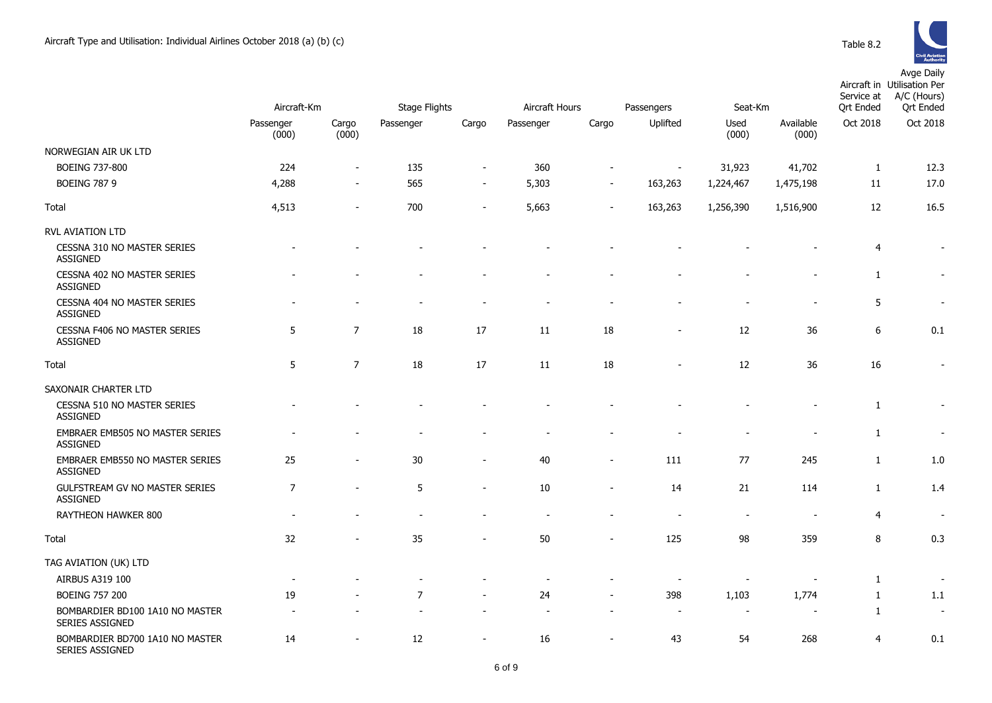

|                                                           |                                   |                              |                                   |                          | Aircraft Hours<br>Passengers |                |                          |                          |                    | Avye Daliy<br>Aircraft in Utilisation Per<br>A/C (Hours)<br>Service at<br><b>Qrt Ended</b><br><b>Ort Ended</b> |                          |  |
|-----------------------------------------------------------|-----------------------------------|------------------------------|-----------------------------------|--------------------------|------------------------------|----------------|--------------------------|--------------------------|--------------------|----------------------------------------------------------------------------------------------------------------|--------------------------|--|
|                                                           | Aircraft-Km<br>Passenger<br>(000) | Cargo<br>(000)               | <b>Stage Flights</b><br>Passenger | Cargo                    | Passenger                    | Cargo          | Uplifted                 | Seat-Km<br>Used<br>(000) | Available<br>(000) | Oct 2018                                                                                                       | Oct 2018                 |  |
| NORWEGIAN AIR UK LTD                                      |                                   |                              |                                   |                          |                              |                |                          |                          |                    |                                                                                                                |                          |  |
| <b>BOEING 737-800</b>                                     | 224                               | $\blacksquare$               | 135                               | $\blacksquare$           | 360                          |                | $\overline{\phantom{a}}$ | 31,923                   | 41,702             | $\mathbf{1}$                                                                                                   | 12.3                     |  |
| <b>BOEING 787 9</b>                                       | 4,288                             | $\qquad \qquad \blacksquare$ | 565                               | $\overline{\phantom{a}}$ | 5,303                        |                | 163,263                  | 1,224,467                | 1,475,198          | 11                                                                                                             | 17.0                     |  |
| Total                                                     | 4,513                             | ۰                            | 700                               | $\blacksquare$           | 5,663                        |                | 163,263                  | 1,256,390                | 1,516,900          | 12                                                                                                             | 16.5                     |  |
| RVL AVIATION LTD                                          |                                   |                              |                                   |                          |                              |                |                          |                          |                    |                                                                                                                |                          |  |
| CESSNA 310 NO MASTER SERIES<br><b>ASSIGNED</b>            |                                   |                              |                                   |                          |                              |                |                          |                          |                    | 4                                                                                                              | $\sim$                   |  |
| CESSNA 402 NO MASTER SERIES<br><b>ASSIGNED</b>            |                                   |                              |                                   |                          |                              |                |                          |                          |                    | $\mathbf{1}$                                                                                                   |                          |  |
| CESSNA 404 NO MASTER SERIES<br><b>ASSIGNED</b>            |                                   |                              | $\overline{\phantom{a}}$          | ÷,                       |                              |                |                          |                          |                    | 5                                                                                                              |                          |  |
| CESSNA F406 NO MASTER SERIES<br><b>ASSIGNED</b>           | 5                                 | $\overline{7}$               | 18                                | 17                       | 11                           | 18             | $\blacksquare$           | 12                       | 36                 | 6                                                                                                              | 0.1                      |  |
| Total                                                     | 5                                 | $\overline{7}$               | 18                                | 17                       | 11                           | 18             |                          | 12                       | 36                 | 16                                                                                                             | $\blacksquare$           |  |
| SAXONAIR CHARTER LTD                                      |                                   |                              |                                   |                          |                              |                |                          |                          |                    |                                                                                                                |                          |  |
| CESSNA 510 NO MASTER SERIES<br><b>ASSIGNED</b>            |                                   |                              |                                   |                          |                              |                |                          |                          |                    | $\mathbf{1}$                                                                                                   |                          |  |
| EMBRAER EMB505 NO MASTER SERIES<br><b>ASSIGNED</b>        |                                   |                              |                                   |                          |                              |                |                          |                          |                    | 1                                                                                                              |                          |  |
| EMBRAER EMB550 NO MASTER SERIES<br><b>ASSIGNED</b>        | 25                                |                              | 30                                | $\overline{\phantom{a}}$ | 40                           | $\blacksquare$ | 111                      | 77                       | 245                | $\mathbf{1}$                                                                                                   | $1.0\,$                  |  |
| GULFSTREAM GV NO MASTER SERIES<br><b>ASSIGNED</b>         | $\overline{7}$                    |                              | $\sqrt{5}$                        | $\overline{a}$           | 10                           |                | 14                       | 21                       | 114                | $\mathbf{1}$                                                                                                   | 1.4                      |  |
| RAYTHEON HAWKER 800                                       |                                   |                              |                                   |                          |                              |                |                          |                          |                    | 4                                                                                                              |                          |  |
| Total                                                     | 32                                |                              | 35                                |                          | 50                           |                | 125                      | 98                       | 359                | 8                                                                                                              | 0.3                      |  |
| TAG AVIATION (UK) LTD                                     |                                   |                              |                                   |                          |                              |                |                          |                          |                    |                                                                                                                |                          |  |
| AIRBUS A319 100                                           |                                   |                              |                                   |                          |                              |                |                          |                          |                    | 1                                                                                                              |                          |  |
| <b>BOEING 757 200</b>                                     | 19                                |                              | $\overline{7}$                    |                          | 24                           |                | 398                      | 1,103                    | 1,774              | 1                                                                                                              | 1.1                      |  |
| BOMBARDIER BD100 1A10 NO MASTER<br><b>SERIES ASSIGNED</b> |                                   |                              |                                   |                          |                              |                | $\overline{\phantom{a}}$ | $\overline{\phantom{a}}$ |                    | 1                                                                                                              | $\overline{\phantom{a}}$ |  |

14 - 12 - 16 - 43 54 268 4 0.1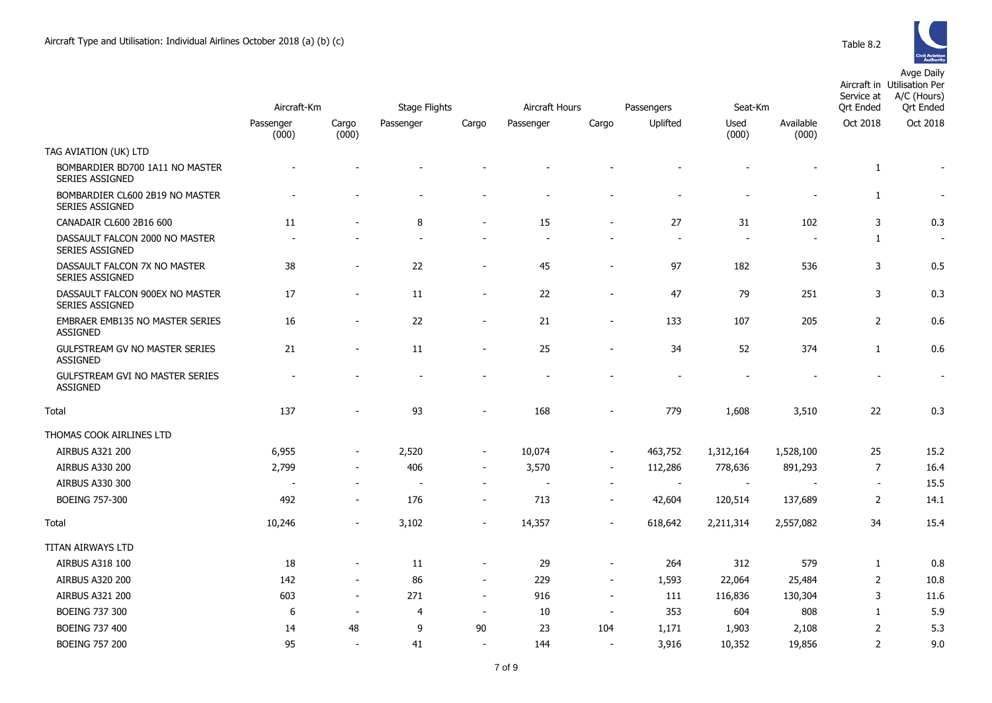|                                                           |                          | Aircraft-Km              |           | <b>Stage Flights</b>     |           | Aircraft Hours<br>Passengers |          | Seat-Km                  |                    | Service at<br><b>Qrt Ended</b> | Aircraft in Utilisation Per<br>A/C (Hours)<br><b>Qrt Ended</b> |
|-----------------------------------------------------------|--------------------------|--------------------------|-----------|--------------------------|-----------|------------------------------|----------|--------------------------|--------------------|--------------------------------|----------------------------------------------------------------|
|                                                           | Passenger<br>(000)       | Cargo<br>(000)           | Passenger | Cargo                    | Passenger | Cargo                        | Uplifted | Used<br>(000)            | Available<br>(000) | Oct 2018                       | Oct 2018                                                       |
| TAG AVIATION (UK) LTD                                     |                          |                          |           |                          |           |                              |          |                          |                    |                                |                                                                |
| BOMBARDIER BD700 1A11 NO MASTER<br><b>SERIES ASSIGNED</b> |                          |                          |           |                          |           |                              |          |                          |                    | $\mathbf{1}$                   | $\overline{\phantom{a}}$                                       |
| BOMBARDIER CL600 2B19 NO MASTER<br>SERIES ASSIGNED        |                          |                          |           |                          |           |                              |          |                          |                    | $\mathbf{1}$                   |                                                                |
| CANADAIR CL600 2B16 600                                   | 11                       |                          | 8         | $\blacksquare$           | 15        | $\overline{a}$               | 27       | 31                       | 102                | 3                              | 0.3                                                            |
| DASSAULT FALCON 2000 NO MASTER<br>SERIES ASSIGNED         |                          |                          |           |                          |           |                              | $\sim$   |                          |                    | $\mathbf{1}$                   | $\overline{\phantom{a}}$                                       |
| DASSAULT FALCON 7X NO MASTER<br><b>SERIES ASSIGNED</b>    | 38                       |                          | 22        | $\overline{\phantom{a}}$ | 45        | $\qquad \qquad \blacksquare$ | 97       | 182                      | 536                | 3                              | 0.5                                                            |
| DASSAULT FALCON 900EX NO MASTER<br>SERIES ASSIGNED        | $17\,$                   |                          | 11        | $\blacksquare$           | 22        |                              | 47       | 79                       | 251                | 3                              | 0.3                                                            |
| <b>EMBRAER EMB135 NO MASTER SERIES</b><br><b>ASSIGNED</b> | 16                       |                          | 22        | $\overline{\phantom{a}}$ | 21        | $\qquad \qquad \blacksquare$ | 133      | 107                      | 205                | $\overline{2}$                 | 0.6                                                            |
| GULFSTREAM GV NO MASTER SERIES<br><b>ASSIGNED</b>         | 21                       |                          | 11        |                          | 25        |                              | 34       | 52                       | 374                | $\mathbf{1}$                   | 0.6                                                            |
| <b>GULFSTREAM GVI NO MASTER SERIES</b><br><b>ASSIGNED</b> |                          |                          |           |                          |           |                              |          |                          |                    |                                | $\sim$                                                         |
| Total                                                     | 137                      |                          | 93        |                          | 168       |                              | 779      | 1,608                    | 3,510              | 22                             | 0.3                                                            |
| THOMAS COOK AIRLINES LTD                                  |                          |                          |           |                          |           |                              |          |                          |                    |                                |                                                                |
| AIRBUS A321 200                                           | 6,955                    |                          | 2,520     | $\sim$                   | 10,074    | $\blacksquare$               | 463,752  | 1,312,164                | 1,528,100          | 25                             | 15.2                                                           |
| <b>AIRBUS A330 200</b>                                    | 2,799                    |                          | 406       | $\overline{\phantom{a}}$ | 3,570     | $\overline{\phantom{a}}$     | 112,286  | 778,636                  | 891,293            | $\overline{7}$                 | 16.4                                                           |
| AIRBUS A330 300                                           | $\overline{\phantom{a}}$ | $\overline{\phantom{a}}$ |           | $\sim$                   | $\sim$    | $\blacksquare$               | $\sim$   | $\overline{\phantom{a}}$ |                    | $\sim$                         | 15.5                                                           |
| BOEING 757-300                                            | 492                      |                          | 176       |                          | 713       | $\qquad \qquad \blacksquare$ | 42,604   | 120,514                  | 137,689            | $\overline{2}$                 | 14.1                                                           |
| Total                                                     | 10,246                   |                          | 3,102     |                          | 14,357    |                              | 618,642  | 2,211,314                | 2,557,082          | 34                             | 15.4                                                           |
| TITAN AIRWAYS LTD                                         |                          |                          |           |                          |           |                              |          |                          |                    |                                |                                                                |
| AIRBUS A318 100                                           | 18                       |                          | 11        | $\overline{\phantom{a}}$ | 29        | $\blacksquare$               | 264      | 312                      | 579                | $\mathbf{1}$                   | 0.8                                                            |
| AIRBUS A320 200                                           | 142                      |                          | 86        | $\blacksquare$           | 229       | $\blacksquare$               | 1,593    | 22,064                   | 25,484             | $\overline{2}$                 | 10.8                                                           |
| AIRBUS A321 200                                           | 603                      | $\overline{\phantom{a}}$ | 271       | $\sim$                   | 916       | $\overline{\phantom{a}}$     | 111      | 116,836                  | 130,304            | 3                              | 11.6                                                           |
| <b>BOEING 737 300</b>                                     | 6                        | $\blacksquare$           | 4         | $\sim$                   | 10        | $\overline{a}$               | 353      | 604                      | 808                | $\mathbf{1}$                   | 5.9                                                            |
| <b>BOEING 737 400</b>                                     | 14                       | 48                       | 9         | 90                       | 23        | 104                          | 1,171    | 1,903                    | 2,108              | $\overline{2}$                 | 5.3                                                            |
| <b>BOEING 757 200</b>                                     | 95                       |                          | 41        |                          | 144       |                              | 3,916    | 10,352                   | 19,856             | $\overline{2}$                 | 9.0                                                            |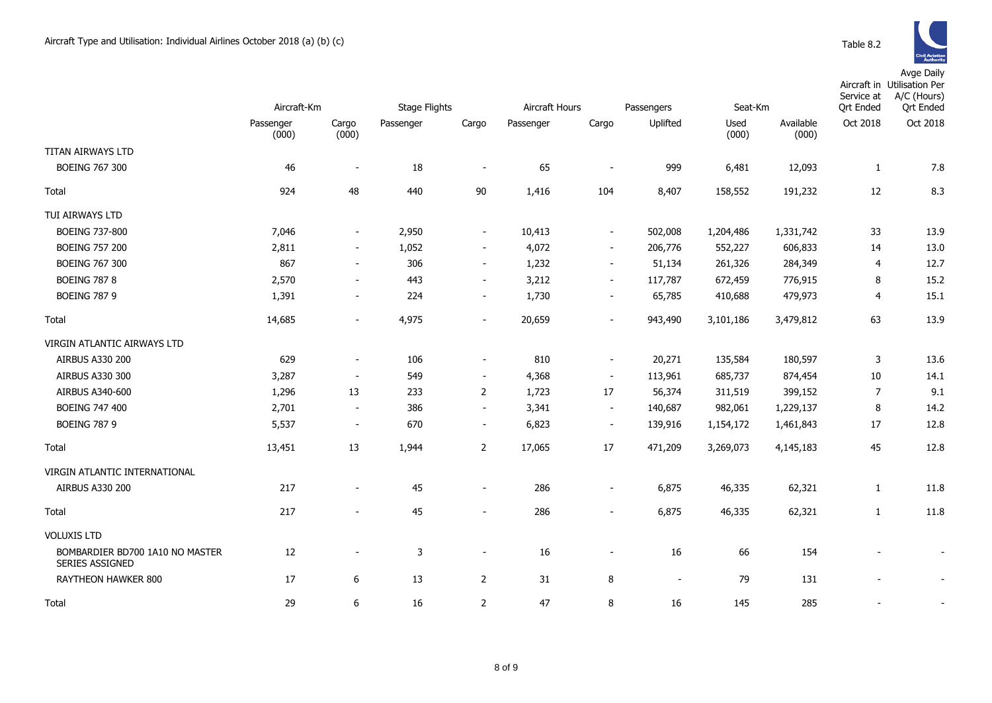|                                                    | Aircraft-Km        |                          | <b>Stage Flights</b> |                              | Aircraft Hours |                          | Seat-Km<br>Passengers    |               |                    | Service at<br><b>Qrt Ended</b> | Aircraft in Utilisation Per<br>A/C (Hours)<br><b>Qrt Ended</b> |
|----------------------------------------------------|--------------------|--------------------------|----------------------|------------------------------|----------------|--------------------------|--------------------------|---------------|--------------------|--------------------------------|----------------------------------------------------------------|
|                                                    | Passenger<br>(000) | Cargo<br>(000)           | Passenger            | Cargo                        | Passenger      | Cargo                    | Uplifted                 | Used<br>(000) | Available<br>(000) | Oct 2018                       | Oct 2018                                                       |
| TITAN AIRWAYS LTD                                  |                    |                          |                      |                              |                |                          |                          |               |                    |                                |                                                                |
| <b>BOEING 767 300</b>                              | 46                 |                          | 18                   | $\overline{\phantom{a}}$     | 65             |                          | 999                      | 6,481         | 12,093             | 1                              | 7.8                                                            |
| Total                                              | 924                | 48                       | 440                  | $90\,$                       | 1,416          | 104                      | 8,407                    | 158,552       | 191,232            | 12                             | 8.3                                                            |
| TUI AIRWAYS LTD                                    |                    |                          |                      |                              |                |                          |                          |               |                    |                                |                                                                |
| <b>BOEING 737-800</b>                              | 7,046              | $\blacksquare$           | 2,950                | $\overline{\phantom{a}}$     | 10,413         | $\overline{\phantom{a}}$ | 502,008                  | 1,204,486     | 1,331,742          | 33                             | 13.9                                                           |
| <b>BOEING 757 200</b>                              | 2,811              | $\overline{\phantom{a}}$ | 1,052                | $\overline{\phantom{a}}$     | 4,072          | $\blacksquare$           | 206,776                  | 552,227       | 606,833            | 14                             | 13.0                                                           |
| <b>BOEING 767 300</b>                              | 867                | $\overline{\phantom{a}}$ | 306                  | $\blacksquare$               | 1,232          | $\blacksquare$           | 51,134                   | 261,326       | 284,349            | 4                              | 12.7                                                           |
| <b>BOEING 787 8</b>                                | 2,570              | $\overline{\phantom{a}}$ | 443                  | $\blacksquare$               | 3,212          | $\overline{\phantom{a}}$ | 117,787                  | 672,459       | 776,915            | 8                              | 15.2                                                           |
| <b>BOEING 787 9</b>                                | 1,391              | $\blacksquare$           | 224                  | $\blacksquare$               | 1,730          | $\overline{\phantom{a}}$ | 65,785                   | 410,688       | 479,973            | 4                              | 15.1                                                           |
| Total                                              | 14,685             | $\blacksquare$           | 4,975                | $\blacksquare$               | 20,659         | $\blacksquare$           | 943,490                  | 3,101,186     | 3,479,812          | 63                             | 13.9                                                           |
| VIRGIN ATLANTIC AIRWAYS LTD                        |                    |                          |                      |                              |                |                          |                          |               |                    |                                |                                                                |
| <b>AIRBUS A330 200</b>                             | 629                | $\overline{\phantom{a}}$ | 106                  | $\overline{\phantom{a}}$     | 810            | $\overline{\phantom{a}}$ | 20,271                   | 135,584       | 180,597            | 3                              | 13.6                                                           |
| AIRBUS A330 300                                    | 3,287              | $\blacksquare$           | 549                  | $\overline{\phantom{a}}$     | 4,368          | $\overline{\phantom{a}}$ | 113,961                  | 685,737       | 874,454            | 10                             | 14.1                                                           |
| AIRBUS A340-600                                    | 1,296              | 13                       | 233                  | $\overline{2}$               | 1,723          | 17                       | 56,374                   | 311,519       | 399,152            | 7                              | 9.1                                                            |
| <b>BOEING 747 400</b>                              | 2,701              | $\overline{\phantom{a}}$ | 386                  | $\sim$                       | 3,341          | $\blacksquare$           | 140,687                  | 982,061       | 1,229,137          | 8                              | 14.2                                                           |
| <b>BOEING 787 9</b>                                | 5,537              | $\overline{\phantom{a}}$ | 670                  | $\overline{\phantom{a}}$     | 6,823          | $\overline{\phantom{a}}$ | 139,916                  | 1,154,172     | 1,461,843          | 17                             | 12.8                                                           |
| Total                                              | 13,451             | 13                       | 1,944                | $\overline{2}$               | 17,065         | 17                       | 471,209                  | 3,269,073     | 4,145,183          | 45                             | 12.8                                                           |
| VIRGIN ATLANTIC INTERNATIONAL                      |                    |                          |                      |                              |                |                          |                          |               |                    |                                |                                                                |
| <b>AIRBUS A330 200</b>                             | 217                | $\overline{\phantom{a}}$ | 45                   | $\qquad \qquad \blacksquare$ | 286            | $\overline{\phantom{a}}$ | 6,875                    | 46,335        | 62,321             | $\mathbf{1}$                   | 11.8                                                           |
| Total                                              | 217                | $\overline{a}$           | 45                   | $\overline{a}$               | 286            | $\sim$                   | 6,875                    | 46,335        | 62,321             | $\mathbf{1}$                   | 11.8                                                           |
| <b>VOLUXIS LTD</b>                                 |                    |                          |                      |                              |                |                          |                          |               |                    |                                |                                                                |
| BOMBARDIER BD700 1A10 NO MASTER<br>SERIES ASSIGNED | 12                 | $\blacksquare$           | 3                    | $\overline{\phantom{a}}$     | 16             | $\overline{\phantom{a}}$ | 16                       | 66            | 154                |                                |                                                                |
| RAYTHEON HAWKER 800                                | 17                 | 6                        | 13                   | $\overline{2}$               | 31             | 8                        | $\overline{\phantom{a}}$ | 79            | 131                | $\overline{\phantom{0}}$       |                                                                |
| Total                                              | 29                 | 6                        | 16                   | $\overline{2}$               | 47             | 8                        | 16                       | 145           | 285                |                                |                                                                |